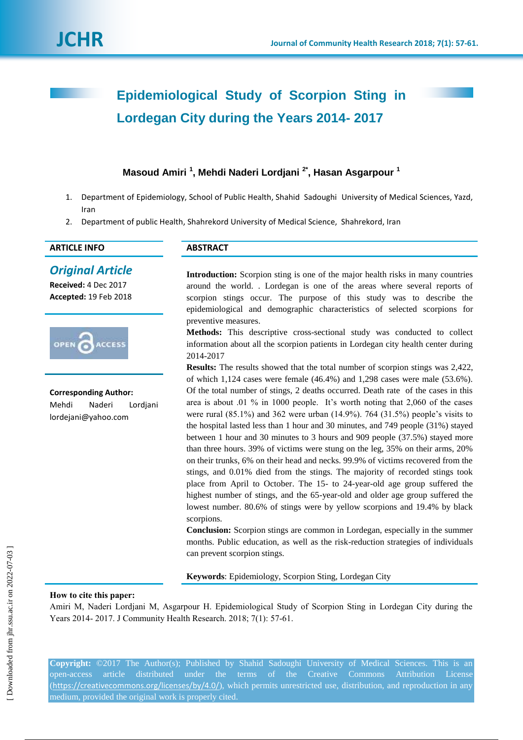# **Epidemiological Study of Scorpion Sting in Lordegan City during the Years 2014- 2017**

# **Masoud Amiri <sup>1</sup> , Mehdi Naderi Lordjani 2\* , Hasan Asgarpour <sup>1</sup>**

- 1. Department of Epidemiology, School of Public Health, Shahid Sadoughi University of Medical Sciences, Yazd, Iran
- 2. Department of public Health, Shahrekord University of Medical Science, Shahrekord, Iran

## **ARTICLE INFO ABSTRACT**

# *Original Article*

**Received:** 4 Dec 2017 **Accepted:** 19 Feb 2018



**Corresponding Author:** Mehdi Naderi Lordjani lordejani@yahoo.com

**Introduction:** Scorpion sting is one of the major health risks in many countries around the world. . Lordegan is one of the areas where several reports of scorpion stings occur. The purpose of this study was to describe the epidemiological and demographic characteristics of selected scorpions for preventive measures.

**Methods:** This descriptive cross-sectional study was conducted to collect information about all the scorpion patients in Lordegan city health center during 2014-2017

**Results:** The results showed that the total number of scorpion stings was 2,422, of which 1,124 cases were female (46.4%) and 1,298 cases were male (53.6%). Of the total number of stings, 2 deaths occurred. Death rate of the cases in this area is about .01 % in 1000 people. It's worth noting that 2,060 of the cases were rural  $(85.1\%)$  and 362 were urban  $(14.9\%)$ . 764  $(31.5\%)$  people's visits to the hospital lasted less than 1 hour and 30 minutes, and 749 people (31%) stayed between 1 hour and 30 minutes to 3 hours and 909 people (37.5%) stayed more than three hours. 39% of victims were stung on the leg, 35% on their arms, 20% on their trunks, 6% on their head and necks. 99.9% of victims recovered from the stings, and 0.01% died from the stings. The majority of recorded stings took place from April to October. The 15- to 24-year-old age group suffered the highest number of stings, and the 65-year-old and older age group suffered the lowest number. 80.6% of stings were by yellow scorpions and 19.4% by black scorpions.

**Conclusion:** Scorpion stings are common in Lordegan, especially in the summer months. Public education, as well as the risk-reduction strategies of individuals can prevent scorpion stings.

**Keywords**: Epidemiology, Scorpion Sting, Lordegan City

#### **How to cite this paper:**

Amiri M, Naderi Lordjani M, Asgarpour H. Epidemiological Study of Scorpion Sting in Lordegan City during the Years 2014- 2017. J Community Health Research. 2018; 7(1): 57-61.

**Copyright:** ©2017 The Author(s); Published by Shahid Sadoughi University of Medical Sciences. This is an open-access article distributed under the terms of the Creative Commons Attribution License (<https://creativecommons.org/licenses/by/4.0/>), which permits unrestricted use, distribution, and reproduction in any medium, provided the original work is properly cited.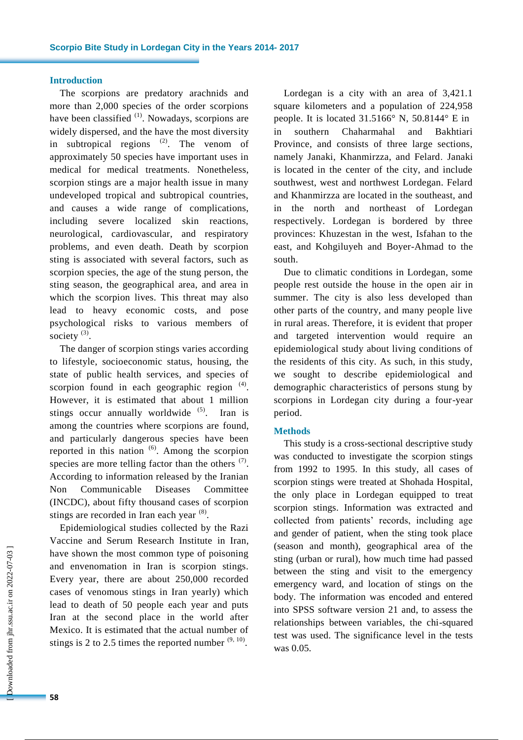#### **Introduction**

The scorpions are predatory arachnids and more than 2,000 species of the order scorpions have been classified  $(1)$ . Nowadays, scorpions are widely dispersed, and the have the most diversity in subtropical regions  $(2)$ . The venom of approximately 50 species have important uses in medical for medical treatments. Nonetheless, scorpion stings are a major health issue in many undeveloped tropical and subtropical countries, and causes a wide range of complications, including severe localized skin reactions, neurological, cardiovascular, and respiratory problems, and even death. Death by scorpion sting is associated with several factors, such as scorpion species, the age of the stung person, the sting season, the geographical area, and area in which the scorpion lives. This threat may also lead to heavy economic costs, and pose psychological risks to various members of society  $^{(3)}$ .

The danger of scorpion stings varies according to lifestyle, socioeconomic status, housing, the state of public health services, and species of scorpion found in each geographic region  $(4)$ . However, it is estimated that about 1 million stings occur annually worldwide  $(5)$ . Iran is among the countries where scorpions are found, and particularly dangerous species have been reported in this nation  $(6)$ . Among the scorpion species are more telling factor than the others  $(7)$ . According to information released by the Iranian Non Communicable Diseases Committee (INCDC), about fifty thousand cases of scorpion stings are recorded in Iran each year  $(8)$ .

Epidemiological studies collected by the Razi Vaccine and Serum Research Institute in Iran, have shown the most common type of poisoning and envenomation in Iran is scorpion stings. Every year, there are about 250,000 recorded cases of venomous stings in Iran yearly) which lead to death of 50 people each year and puts Iran at the second place in the world after Mexico. It is estimated that the actual number of stings is 2 to 2.5 times the reported number  $(9, 10)$ .

Lordegan is a city with an area of 3,421.1 square kilometers and a population of 224,958 people. It is located 31.5166° N, 50.8144° E in in southern Chaharmahal and Bakhtiari Province, and consists of three large sections, namely Janaki, Khanmirzza, and Felard. Janaki is located in the center of the city, and include southwest, west and northwest Lordegan. Felard and Khanmirzza are located in the southeast, and in the north and northeast of Lordegan respectively. Lordegan is bordered by three provinces: Khuzestan in the west, Isfahan to the east, and Kohgiluyeh and Boyer-Ahmad to the south.

Due to climatic conditions in Lordegan, some people rest outside the house in the open air in summer. The city is also less developed than other parts of the country, and many people live in rural areas. Therefore, it is evident that proper and targeted intervention would require an epidemiological study about living conditions of the residents of this city. As such, in this study, we sought to describe epidemiological and demographic characteristics of persons stung by scorpions in Lordegan city during a four-year period.

#### **Methods**

This study is a cross-sectional descriptive study was conducted to investigate the scorpion stings from 1992 to 1995. In this study, all cases of scorpion stings were treated at Shohada Hospital, the only place in Lordegan equipped to treat scorpion stings. Information was extracted and collected from patients' records, including age and gender of patient, when the sting took place (season and month), geographical area of the sting (urban or rural), how much time had passed between the sting and visit to the emergency emergency ward, and location of stings on the body. The information was encoded and entered into SPSS software version 21 and, to assess the relationships between variables, the chi-squared test was used. The significance level in the tests was 0.05.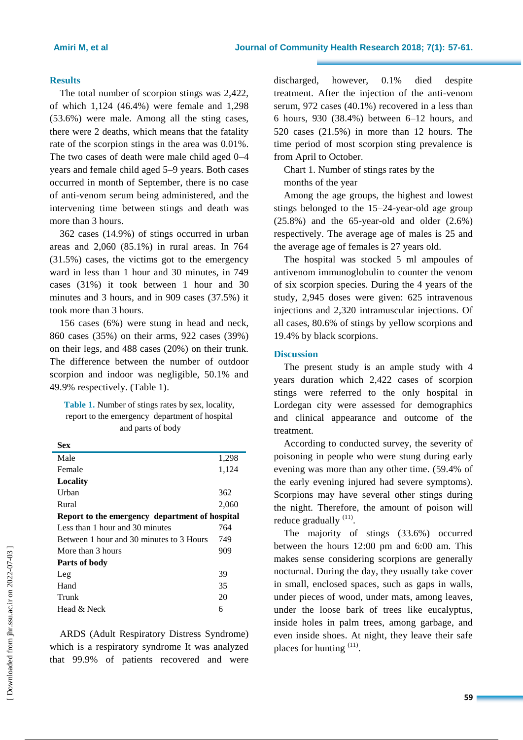#### **Results**

The total number of scorpion stings was 2,422, of which 1,124 (46.4%) were female and 1,298 (53.6%) were male. Among all the sting cases, there were 2 deaths, which means that the fatality rate of the scorpion stings in the area was 0.01%. The two cases of death were male child aged 0–4 years and female child aged 5–9 years. Both cases occurred in month of September, there is no case of anti-venom serum being administered, and the intervening time between stings and death was more than 3 hours.

362 cases (14.9%) of stings occurred in urban areas and 2,060 (85.1%) in rural areas. In 764 (31.5%) cases, the victims got to the emergency ward in less than 1 hour and 30 minutes, in 749 cases (31%) it took between 1 hour and 30 minutes and 3 hours, and in 909 cases (37.5%) it took more than 3 hours.

156 cases (6%) were stung in head and neck, 860 cases (35%) on their arms, 922 cases (39%) on their legs, and 488 cases (20%) on their trunk. The difference between the number of outdoor scorpion and indoor was negligible, 50.1% and 49.9% respectively. (Table 1).

**Table 1.** Number of stings rates by sex, locality, report to the emergency department of hospital and parts of body

| Sex                                            |       |
|------------------------------------------------|-------|
| Male                                           | 1,298 |
| Female                                         | 1,124 |
| Locality                                       |       |
| Urban                                          | 362   |
| Rural                                          | 2,060 |
| Report to the emergency department of hospital |       |
| Less than 1 hour and 30 minutes                | 764   |
| Between 1 hour and 30 minutes to 3 Hours       | 749   |
| More than 3 hours                              | 909   |
| Parts of body                                  |       |
| Leg                                            | 39    |
| Hand                                           | 35    |
| Trunk                                          | 20    |
| Head & Neck                                    | 6     |

ARDS (Adult Respiratory Distress Syndrome) which is a respiratory syndrome It was analyzed that 99.9% of patients recovered and were discharged, however, 0.1% died despite treatment. After the injection of the anti-venom serum, 972 cases (40.1%) recovered in a less than 6 hours, 930 (38.4%) between 6–12 hours, and 520 cases (21.5%) in more than 12 hours. The time period of most scorpion sting prevalence is from April to October.

Chart 1. Number of stings rates by the months of the year

Among the age groups, the highest and lowest stings belonged to the 15–24-year-old age group (25.8%) and the 65-year-old and older (2.6%) respectively. The average age of males is 25 and the average age of females is 27 years old.

The hospital was stocked 5 ml ampoules of antivenom immunoglobulin to counter the venom of six scorpion species. During the 4 years of the study, 2,945 doses were given: 625 intravenous injections and 2,320 intramuscular injections. Of all cases, 80.6% of stings by yellow scorpions and 19.4% by black scorpions.

#### **Discussion**

The present study is an ample study with 4 years duration which 2,422 cases of scorpion stings were referred to the only hospital in Lordegan city were assessed for demographics and clinical appearance and outcome of the treatment.

According to conducted survey, the severity of poisoning in people who were stung during early evening was more than any other time. (59.4% of the early evening injured had severe symptoms). Scorpions may have several other stings during the night. Therefore, the amount of poison will reduce gradually  $(11)$ .

The majority of stings (33.6%) occurred between the hours 12:00 pm and 6:00 am. This makes sense considering scorpions are generally nocturnal. During the day, they usually take cover in small, enclosed spaces, such as gaps in walls, under pieces of wood, under mats, among leaves, under the loose bark of trees like eucalyptus, inside holes in palm trees, among garbage, and even inside shoes. At night, they leave their safe places for hunting <sup>(11)</sup>.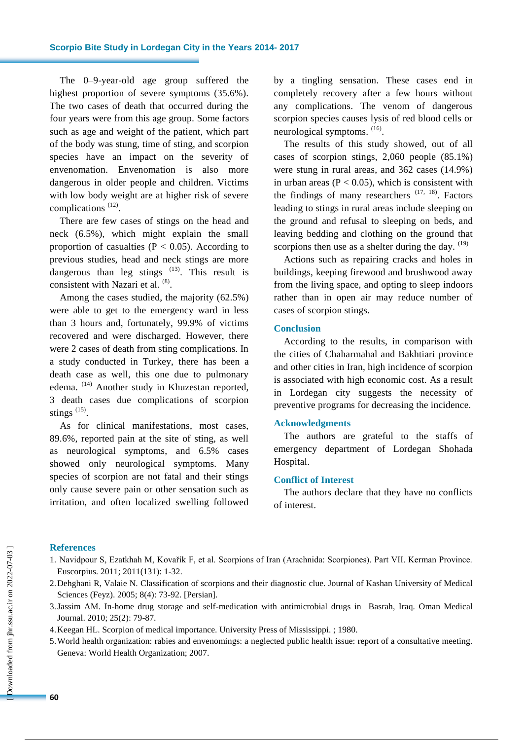The 0–9-year-old age group suffered the highest proportion of severe symptoms (35.6%). The two cases of death that occurred during the four years were from this age group. Some factors such as age and weight of the patient, which part of the body was stung, time of sting, and scorpion species have an impact on the severity of envenomation. Envenomation is also more dangerous in older people and children. Victims with low body weight are at higher risk of severe complications<sup>(12)</sup>.

There are few cases of stings on the head and neck (6.5%), which might explain the small proportion of casualties ( $P < 0.05$ ). According to previous studies, head and neck stings are more dangerous than leg stings  $(13)$ . This result is consistent with Nazari et al. <sup>(8)</sup>.

Among the cases studied, the majority (62.5%) were able to get to the emergency ward in less than 3 hours and, fortunately, 99.9% of victims recovered and were discharged. However, there were 2 cases of death from sting complications. In a study conducted in Turkey, there has been a death case as well, this one due to pulmonary edema. (14) Another study in Khuzestan reported, 3 death cases due complications of scorpion stings  $(15)$ .

As for clinical manifestations, most cases, 89.6%, reported pain at the site of sting, as well as neurological symptoms, and 6.5% cases showed only neurological symptoms. Many species of scorpion are not fatal and their stings only cause severe pain or other sensation such as irritation, and often localized swelling followed by a tingling sensation. These cases end in completely recovery after a few hours without any complications. The venom of dangerous scorpion species causes lysis of red blood cells or neurological symptoms.  $(16)$ .

The results of this study showed, out of all cases of scorpion stings, 2,060 people (85.1%) were stung in rural areas, and 362 cases (14.9%) in urban areas ( $P < 0.05$ ), which is consistent with the findings of many researchers  $(17, 18)$ . Factors leading to stings in rural areas include sleeping on the ground and refusal to sleeping on beds, and leaving bedding and clothing on the ground that scorpions then use as a shelter during the day.  $(19)$ 

Actions such as repairing cracks and holes in buildings, keeping firewood and brushwood away from the living space, and opting to sleep indoors rather than in open air may reduce number of cases of scorpion stings.

#### **Conclusion**

According to the results, in comparison with the cities of Chaharmahal and Bakhtiari province and other cities in Iran, high incidence of scorpion is associated with high economic cost. As a result in Lordegan city suggests the necessity of preventive programs for decreasing the incidence.

#### **Acknowledgments**

The authors are grateful to the staffs of emergency department of Lordegan Shohada Hospital.

### **Conflict of Interest**

The authors declare that they have no conflicts of interest.

#### **References**

- 1. Navidpour S, Ezatkhah M, Kovařík F, et al. Scorpions of Iran (Arachnida: Scorpiones). Part VII. Kerman Province. Euscorpius. 2011; 2011(131): 1-32.
- 2.Dehghani R, Valaie N. Classification of scorpions and their diagnostic clue. Journal of Kashan University of Medical Sciences (Feyz). 2005; 8(4): 73-92. [Persian].
- 3.Jassim AM. In-home drug storage and self-medication with antimicrobial drugs in Basrah, Iraq. Oman Medical Journal. 2010; 25(2): 79-87.
- 4.Keegan HL. Scorpion of medical importance. University Press of Mississippi. ; 1980.
- 5.World health organization: rabies and envenomings: a neglected public health issue: report of a consultative meeting. Geneva: World Health Organization; 2007.